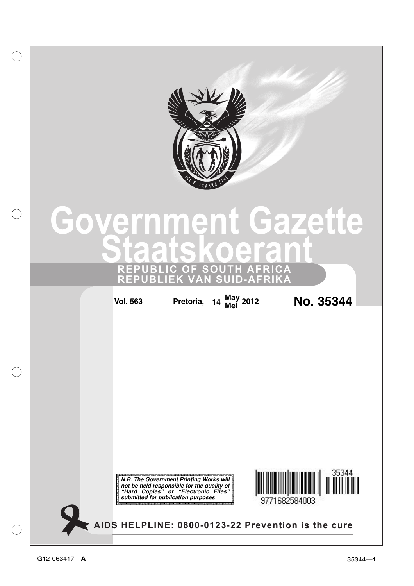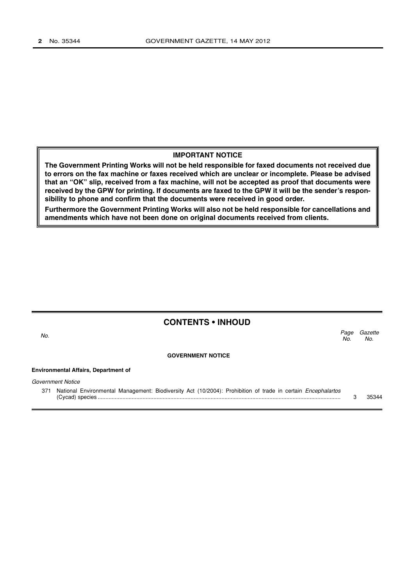### **IMPORTANT NOTICE**

**The Government Printing Works will not be held responsible for faxed documents not received due to errors on the fax machine or faxes received which are unclear or incomplete. Please be advised that an "OK" slip, received from a fax machine, will not be accepted as proof that documents were received by the GPW for printing. If documents are faxed to the GPW it will be the sender's responsibility to phone and confirm that the documents were received in good order.**

**Furthermore the Government Printing Works will also not be held responsible for cancellations and amendments which have not been done on original documents received from clients.**

| <b>CONTENTS • INHOUD</b>                    |                                                                                                                     |             |                |
|---------------------------------------------|---------------------------------------------------------------------------------------------------------------------|-------------|----------------|
| No.                                         |                                                                                                                     | Page<br>No. | Gazette<br>No. |
|                                             | <b>GOVERNMENT NOTICE</b>                                                                                            |             |                |
| <b>Environmental Affairs, Department of</b> |                                                                                                                     |             |                |
|                                             | Government Notice                                                                                                   |             |                |
| 371                                         | National Environmental Management: Biodiversity Act (10/2004): Prohibition of trade in certain <i>Encephalartos</i> |             | 35344          |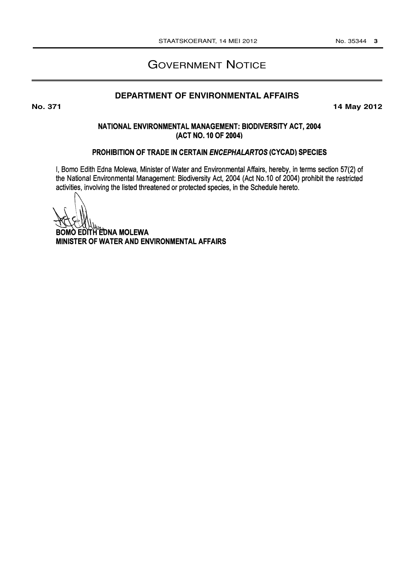# GOVERNMENT NOTICE

# **DEPARTMENT OF ENVIRONMENTAL AFFAIRS**

**No. 371 14 May 2012**

### NATIONAL ENVIRONMENTAL MANAGEMENT: BIODIVERSITY ACT, 2004 (ACT NO. 10 OF 2004)

### PROHIBITION OF TRADE IN CERTAIN ENCEPHALARTOS (CYCAD) SPECIES

I, Bomo Edith Edna Molewa, Minister of Water and Environmental Affairs, hereby, in terms section 57(2) of the National Environmental Management: Biodiversity Act, 2004 (Act No.10 of 2004) prohibit the restricted activities, involving the listed threatened or protected species, in the Schedule hereto.

**BOMO EDITH EDNA MOLEWA** MINISTER OF WATER AND ENVIRONMENTAL AFFAIRS